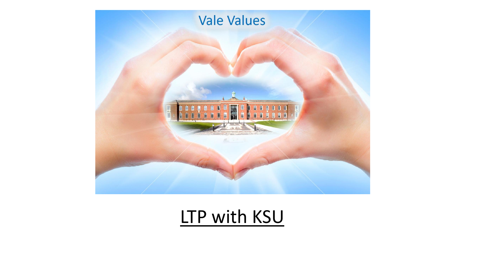

LTP with KSU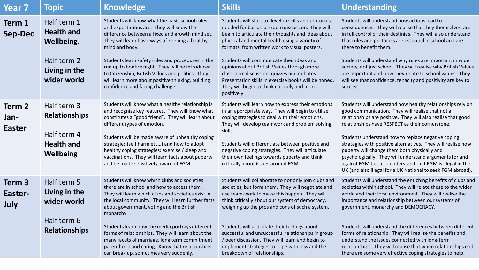| <b>Year 7</b>                   | <b>Topic</b>                                                                                  | <b>Knowledge</b>                                                                                                                                                                                                                                                                                                                                                                                                                                                                                                       | <b>Skills</b>                                                                                                                                                                                                                                                                                                                                                                                                                                                                                                                   | <b>Understanding</b>                                                                                                                                                                                                                                                                                                                                                                                                                                                                                                                                                                               |
|---------------------------------|-----------------------------------------------------------------------------------------------|------------------------------------------------------------------------------------------------------------------------------------------------------------------------------------------------------------------------------------------------------------------------------------------------------------------------------------------------------------------------------------------------------------------------------------------------------------------------------------------------------------------------|---------------------------------------------------------------------------------------------------------------------------------------------------------------------------------------------------------------------------------------------------------------------------------------------------------------------------------------------------------------------------------------------------------------------------------------------------------------------------------------------------------------------------------|----------------------------------------------------------------------------------------------------------------------------------------------------------------------------------------------------------------------------------------------------------------------------------------------------------------------------------------------------------------------------------------------------------------------------------------------------------------------------------------------------------------------------------------------------------------------------------------------------|
| Term 1<br><b>Sep-Dec</b>        | Half term 1<br><b>Health and</b><br>Wellbeing.<br>Half term 2<br>Living in the<br>wider world | Students will know what the basic school rules<br>and expectations are. They will know the<br>difference between a fixed and growth mind set.<br>They will learn basic ways of keeping a healthy<br>mind and body.<br>Students learn safety rules and procedures in the<br>run up to bonfire night. They will be introduced<br>to Citizenship, British Values and politics. They<br>will learn more about positive thinking, building<br>confidence and facing challenge.                                              | Students will start to develop skills and protocols<br>needed for basic classroom discussion. They will<br>begin to articulate their thoughts and ideas about<br>physical and mental health using a variety of<br>formats, from written work to visual posters.<br>Students will communicate their ideas and<br>opinions about British Values through more<br>classroom discussion, quizzes and debates.<br>Presentation skills in exercise books will be honed.<br>They will begin to think critically and more<br>positively. | Students will understand how actions lead to<br>consequences. They will realise that they themselves are<br>in full control of their destinies. They will also understand<br>that rules and protocols are essential in school and are<br>there to benefit them.<br>Students will understand why rules are important in wider<br>society, not just school. They will realise why British Values<br>are important and how they relate to school values. They<br>will see that confidence, tenacity and positivity are key to<br>success.                                                             |
| Term 2<br>Jan-<br><b>Easter</b> | Half term 3<br><b>Relationships</b><br>Half term 4<br><b>Health and</b><br>Wellbeing          | Students will know what a healthy relationship is<br>and recognise key features. They will know what<br>constitutes a "good friend". They will learn about<br>different types of emotion.<br>Students will be made aware of unhealthy coping<br>strategies (self harm etc) and how to adopt<br>healthy coping strategies: exercise / sleep and<br>vaccinations. They will learn facts about puberty<br>and be made sensitively aware of FGM.                                                                           | Students will learn how to express their emotions<br>in an appropriate way. They will begin to utilise<br>coping strategies to deal with their emotions.<br>They will develop teamwork and problem solving<br>skills.<br>Students will differentiate between positive and<br>negative coping strategies. They will articulate<br>their own feelings towards puberty and think<br>critically about issues around FGM.                                                                                                            | Students will understand how healthy relationships rely on<br>good communication. They will realise that not all<br>relationships are positive. They will also realise that good<br>relationships have RESPECT as their cornerstone.<br>Students understand how to replace negative coping<br>strategies with positive alternatives. They will realise how<br>puberty will change them both physically and<br>psychologically. They will understand arguments for and<br>against FGM but also understand that FGM is illegal in the<br>UK (and also illegal for a UK National to seek FGM abroad). |
| Term 3<br>Easter-<br>July       | Half term 5<br>Living in the<br>wider world<br>Half term 6<br><b>Relationships</b>            | Students will know which clubs and societies<br>there are in school and how to access them.<br>They will learn which clubs and societies exist in<br>the local community. They will learn further facts<br>about government, voting and the British<br>monarchy.<br>Students learn how the media portrays different<br>forms of relationships. They will learn about the<br>many facets of marriage, long term commitment,<br>parenthood and caring. Know that relationships<br>can break up, sometimes very suddenly. | Students will collaborate to not only join clubs and<br>societies, but form them. They will negotiate and<br>use team-work to make this happen. They will<br>think critically about our system of democracy,<br>weighing up the pros and cons of such a system.<br>Students will articulate their feelings about<br>successful and unsuccessful relationships in group<br>/ peer discussion. They will learn and begin to<br>implement strategies to cope with loss and the<br>breakdown of relationships.                      | Students will understand the enriching benefits of clubs and<br>societies within school. They will relate these to the wider<br>world and their local environment. They will realise the<br>importance and relationship between our systems of<br>government, monarchy and DEMOCRACY.<br>Students will understand the differences between different<br>forms of relationship. They will realise the benefits and<br>understand the issues connected with long-term<br>relationships. They will realise that when relationships end,<br>there are some very effective coping strategies to help.    |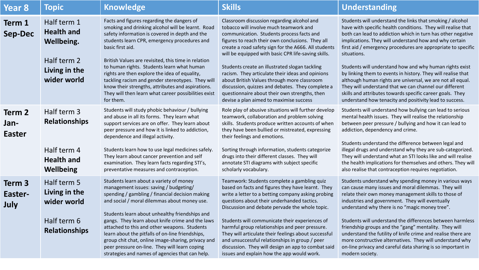| Year 8                               | <b>Topic</b>                                                                                  | <b>Knowledge</b>                                                                                                                                                                                                                                                                                                                                                                                                                                                                                                                                           | <b>Skills</b>                                                                                                                                                                                                                                                                                                                                                                                                                                                                                                                                                                                             | <b>Understanding</b>                                                                                                                                                                                                                                                                                                                                                                                                                                                                                                                                                                                                                                                                                         |
|--------------------------------------|-----------------------------------------------------------------------------------------------|------------------------------------------------------------------------------------------------------------------------------------------------------------------------------------------------------------------------------------------------------------------------------------------------------------------------------------------------------------------------------------------------------------------------------------------------------------------------------------------------------------------------------------------------------------|-----------------------------------------------------------------------------------------------------------------------------------------------------------------------------------------------------------------------------------------------------------------------------------------------------------------------------------------------------------------------------------------------------------------------------------------------------------------------------------------------------------------------------------------------------------------------------------------------------------|--------------------------------------------------------------------------------------------------------------------------------------------------------------------------------------------------------------------------------------------------------------------------------------------------------------------------------------------------------------------------------------------------------------------------------------------------------------------------------------------------------------------------------------------------------------------------------------------------------------------------------------------------------------------------------------------------------------|
| Term 1<br><b>Sep-Dec</b>             | Half term 1<br><b>Health and</b><br>Wellbeing.<br>Half term 2<br>Living in the<br>wider world | Facts and figures regarding the dangers of<br>smoking and drinking alcohol will be learnt. Road<br>safety information is covered in depth and the<br>students learn CPR, emergency procedures and<br>basic first aid.<br>British Values are revisited, this time in relation<br>to human rights. Students learn what human<br>rights are then explore the idea of equality,<br>tackling racism and gender stereotypes. They will<br>know their strengths, attributes and aspirations.<br>They will then learn what career possibilities exist<br>for them. | Classroom discussion regarding alcohol and<br>tobacco will involve much teamwork and<br>communication. Students process facts and<br>figures to reach their own conclusions. They all<br>create a road safety sign for the A666. All students<br>will be equipped with basic CPR life-saving skills.<br>Students create an illustrated slogan tackling<br>racism. They articulate their ideas and opinions<br>about British Values through more classroom<br>discussion, quizzes and debates. They complete a<br>questionnaire about their own strengths, then<br>devise a plan aimed to maximise success | Students will understand the links that smoking / alcohol<br>have with specific health conditions. They will realise that<br>both can lead to addiction which in turn has other negative<br>implications. They will understand how and why certain<br>first aid / emergency procedures are appropriate to specific<br>situations.<br>Students will understand how and why human rights exist<br>by linking them to events in history. They will realise that<br>although human rights are universal, we are not all equal.<br>They will understand that we can channel our different<br>skills and attributes towards specific career goals. They<br>understand how tenacity and positivity lead to success. |
| Term 2<br>Jan-<br><b>Easter</b>      | Half term 3<br><b>Relationships</b><br>Half term 4<br><b>Health and</b><br>Wellbeing          | Students will study phobic behaviour / bullying<br>and abuse in all its forms. They learn what<br>support services are on offer. They learn about<br>peer pressure and how it is linked to addiction,<br>dependence and illegal activity.<br>Students learn how to use legal medicines safely.<br>They learn about cancer prevention and self<br>examination. They learn facts regarding STI's,<br>preventative measures and contraception.                                                                                                                | Role play of abusive situations will further develop<br>teamwork, collaboration and problem solving<br>skills. Students produce written accounts of when<br>they have been bullied or mistreated, expressing<br>their feelings and emotions.<br>Sorting through information, students categorize<br>drugs into their different classes. They will<br>annotate STI diagrams with subject specific<br>scholarly vocabulary.                                                                                                                                                                                 | Students will understand how bullying can lead to serious<br>mental health issues. They will realise the relationship<br>between peer pressure / bullying and how it can lead to<br>addiction, dependency and crime.<br>Students understand the difference between legal and<br>illegal drugs and understand why they are sub-categorized.<br>They will understand what an STI looks like and will realise<br>the health implications for themselves and others. They will<br>also realise that contraception requires negotiation.                                                                                                                                                                          |
| Term <sub>3</sub><br>Easter-<br>July | Half term 5<br>Living in the<br>wider world<br>Half term 6<br><b>Relationships</b>            | Students learn about a variety of money<br>management issues: saving / budgeting/<br>spending / gambling / financial decision making<br>and social / moral dilemmas about money use.<br>Students learn about unhealthy friendships and<br>gangs. They learn about knife crime and the laws<br>attached to this and other weapons. Students<br>learn about the pitfalls of on-line friendships,<br>group chit chat, online image-sharing, privacy and<br>peer pressure on-line. They will learn coping<br>strategies and names of agencies that can help.   | Teamwork: Students complete a gambling quiz<br>based on facts and figures they have learnt. They<br>write a letter to a betting company asking probing<br>questions about their underhanded tactics.<br>Discussion and debate pervade the whole topic.<br>Students will communicate their experiences of<br>harmful group relationships and peer pressure.<br>They will articulate their feelings about successful<br>and unsuccessful relationships in group / peer<br>discussion. They will design an app to combat said<br>issues and explain how the app would work.                                  | Students understand why spending money in various ways<br>can cause many issues and moral dilemmas. They will<br>relate their own money management skills to those of<br>industries and government. They will eventually<br>understand why there is no "magic money tree".<br>Students will understand the differences between harmless<br>friendship groups and the "gang" mentality. They will<br>understand the futility of knife crime and realise there are<br>more constructive alternatives. They will understand why<br>on-line privacy and careful data sharing is so important in<br>modern society.                                                                                               |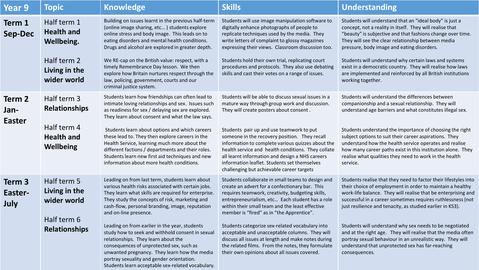| Year 9                           | <b>Topic</b>                                                                                         | <b>Knowledge</b>                                                                                                                                                                                                                                                                                                                                                                                                                                                                                                                                                                                                                     | <b>Skills</b>                                                                                                                                                                                                                                                                                                                                                                                                                                                                                                                                                              | <b>Understanding</b>                                                                                                                                                                                                                                                                                                                                                                                                                                                                                                                                                                   |
|----------------------------------|------------------------------------------------------------------------------------------------------|--------------------------------------------------------------------------------------------------------------------------------------------------------------------------------------------------------------------------------------------------------------------------------------------------------------------------------------------------------------------------------------------------------------------------------------------------------------------------------------------------------------------------------------------------------------------------------------------------------------------------------------|----------------------------------------------------------------------------------------------------------------------------------------------------------------------------------------------------------------------------------------------------------------------------------------------------------------------------------------------------------------------------------------------------------------------------------------------------------------------------------------------------------------------------------------------------------------------------|----------------------------------------------------------------------------------------------------------------------------------------------------------------------------------------------------------------------------------------------------------------------------------------------------------------------------------------------------------------------------------------------------------------------------------------------------------------------------------------------------------------------------------------------------------------------------------------|
| Term 1<br><b>Sep-Dec</b>         | Half term 1<br><b>Health and</b><br><b>Wellbeing.</b><br>Half term 2<br>Living in the<br>wider world | Building on issues learnt in the previous half-term<br>(online image sharing, etc) students explore<br>online stress and body image. This leads on to<br>eating disorders and mental health conditions.<br>Drugs and alcohol are explored in greater depth.<br>We RE-cap on the British value: respect, with a<br>timely Remembrance Day lesson. We then<br>explore how Britain nurtures respect through the<br>law, policing, government, courts and our<br>criminal justice system.                                                                                                                                                | Students will use image manipulation software to<br>digitally enhance photographs of people to<br>replicate techniques used by the media. They<br>write letters of complaint to glossy magazines<br>expressing their views. Classroom discussion too.<br>Students hold their own trial, replicating court<br>procedures and protocols. They also use debating<br>skills and cast their votes on a range of issues.                                                                                                                                                         | Students will understand that an "ideal body" is just a<br>concept, not a reality in itself. They will realise that<br>"beauty" is subjective and that fashions change over time.<br>They will see the clear relationship between media<br>pressure, body image and eating disorders.<br>Students will understand why certain laws and systems<br>exist in a democratic country. They will realise how laws<br>are implemented and reinforced by all British institutions<br>working together.                                                                                         |
| Term 2<br>Jan-<br><b>Easter</b>  | Half term 3<br><b>Relationships</b><br>Half term 4<br><b>Health and</b><br>Wellbeing                 | Students learn how friendships can often lead to<br>intimate loving relationships and sex. Issues such<br>as readiness for sex / delaying sex are explored.<br>They learn about consent and what the law says.<br>Students learn about options and which careers<br>these lead to. They then explore careers in the<br>Health Service, learning much more about the<br>different factions / departments and their roles.<br>Students learn new first aid techniques and new<br>information about more health conditions.                                                                                                             | Students will be able to discuss sexual issues in a<br>mature way through group work and discussion.<br>They will create posters about consent.<br>Students pair up and use teamwork to put<br>someone in the recovery position. They recall<br>information to complete various quizzes about the<br>health service and health conditions. They collate<br>all learnt information and design a NHS careers<br>information leaflet. Students set themselves<br>challenging but achievable career targets                                                                    | Students will understand the differences between<br>companionship and a sexual relationship. They will<br>understand age barriers and what constitutes illegal sex.<br>Students understand the importance of choosing the right<br>subject options to suit their career aspirations. They<br>understand how the health service operates and realise<br>how many career paths exist in this institution alone. They<br>realise what qualities they need to work in the health<br>service.                                                                                               |
| Term 3<br>Easter-<br><b>July</b> | Half term 5<br>Living in the<br>wider world<br>Half term 6<br><b>Relationships</b>                   | Leading on from last term, students learn about<br>various health risks associated with certain jobs.<br>They learn what skills are required for enterprise.<br>They study the concepts of risk, marketing and<br>cash-flow, personal branding, image, reputation<br>and on-line presence.<br>Leading on from earlier in the year, students<br>study how to seek and withhold consent in sexual<br>relationships. They learn about the<br>consequences of unprotected sex, such as<br>unwanted pregnancy. They learn how the media<br>portray sexuality and gender orientation.<br>Students learn acceptable sex-related vocabulary. | Students collaborate in small teams to design and<br>create an advert for a confectionary bar. This<br>requires teamwork, creativity, budgeting skills,<br>entrepreneurialism, etc Each student has a role<br>within their small team and the least effective<br>member is "fired" as in "the Apprentice".<br>Students categorize sex-related vocabulary into<br>acceptable and unacceptable columns. They will<br>discuss all issues at length and make notes during<br>the related films. From the notes, they formulate<br>their own opinions about all issues covered. | Students realise that they need to factor their lifestyles into<br>their choice of employment in order to maintain a healthy<br>work-life balance. They will realise that be enterprising and<br>successful in a career sometimes requires ruthlessness (not<br>just resilience and tenacity, as studied earlier in KS3).<br>Students will understand why sex needs to be negotiated<br>and at the right age. They will realise that the media often<br>portray sexual behaviour in an unrealistic way. They will<br>understand that unprotected sex has far-reaching<br>consequences. |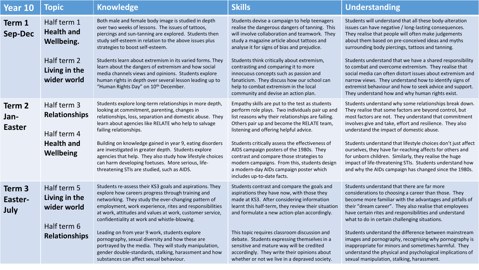| <b>Year 10</b>                   | <b>Topic</b>                                                                                         | <b>Knowledge</b>                                                                                                                                                                                                                                                                                                                                                                                                                                                                                                                                                                                             | <b>Skills</b>                                                                                                                                                                                                                                                                                                                                                                                                                                                                                                      | Understanding                                                                                                                                                                                                                                                                                                                                                                                                                                                                                                                                                                                                                            |
|----------------------------------|------------------------------------------------------------------------------------------------------|--------------------------------------------------------------------------------------------------------------------------------------------------------------------------------------------------------------------------------------------------------------------------------------------------------------------------------------------------------------------------------------------------------------------------------------------------------------------------------------------------------------------------------------------------------------------------------------------------------------|--------------------------------------------------------------------------------------------------------------------------------------------------------------------------------------------------------------------------------------------------------------------------------------------------------------------------------------------------------------------------------------------------------------------------------------------------------------------------------------------------------------------|------------------------------------------------------------------------------------------------------------------------------------------------------------------------------------------------------------------------------------------------------------------------------------------------------------------------------------------------------------------------------------------------------------------------------------------------------------------------------------------------------------------------------------------------------------------------------------------------------------------------------------------|
| Term 1<br><b>Sep-Dec</b>         | Half term 1<br><b>Health and</b><br><b>Wellbeing.</b><br>Half term 2<br>Living in the<br>wider world | Both male and female body image is studied in depth<br>over two weeks of lessons. The issues of tattoos,<br>piercings and sun-tanning are explored. Students then<br>study self-esteem in relation to the above issues plus<br>strategies to boost self-esteem.<br>Students learn about extremism in its varied forms. They<br>learn about the dangers of extremism and how social<br>media channels views and opinions. Students explore<br>human rights in depth over several lesson leading up to<br>"Human Rights Day" on 10 <sup>th</sup> December.                                                     | Students devise a campaign to help teenagers<br>realise the dangerous dangers of tanning. This<br>will involve collaboration and teamwork. They<br>study a magazine article about tattoos and<br>analyse it for signs of bias and prejudice.<br>Students think critically about extremism,<br>contrasting and comparing it to more<br>innocuous concepts such as passion and<br>fanaticism. They discuss how our school can<br>help to combat extremism in the local<br>community and devise an action plan.       | Students will understand that all these body-alteration<br>issues can have negative / long-lasting consequences.<br>They realise that people will often make judgements<br>about them based on pre-conceived ideas and myths<br>surrounding body piercings, tattoos and tanning.<br>Students understand that we have a shared responsibility<br>to combat and overcome extremism. They realise that<br>social media can often distort issues about extremism and<br>narrow views. They understand how to identify signs of<br>extremist behaviour and how to seek advice and support.<br>They understand how and why human rights exist. |
| Term 2<br>Jan-<br><b>Easter</b>  | Half term 3<br><b>Relationships</b><br>Half term 4<br><b>Health and</b><br><b>Wellbeing</b>          | Students explore long-term relationships in more depth,<br>looking at commitment, parenting, changes in<br>relationships, loss, separation and domestic abuse. They<br>learn about agencies like RELATE who help to salvage<br>failing relationships.<br>Building on knowledge gained in year 9, eating disorders<br>are investigated in greater depth. Students explore<br>agencies that help. They also study how lifestyle choices<br>can harm developing foetuses. More serious, life-<br>threatening STIs are studied, such as AIDS.                                                                    | Empathy skills are put to the test as students<br>perform role plays. Two individuals pair up and<br>list reasons why their relationships are failing.<br>Others pair up and become the RELATE team,<br>listening and offering helpful advice.<br>Students critically assess the effectiveness of<br>AIDS campaign posters of the 1980s. They<br>contrast and compare those strategies to<br>modern campaigns. From this, students design<br>a modern-day AIDs campaign poster which<br>includes up-to-date facts. | Students understand why some relationships break down.<br>They realise that some factors are beyond control, but<br>most factors are not. They understand that commitment<br>involves give and take, effort and resilience. They also<br>understand the impact of domestic abuse.<br>Students understand that lifestyle choices don't just affect<br>ourselves, they have far-reaching affects for others and<br>for unborn children. Similarly, they realise the huge<br>impact of life-threatening STIs. Students understand how<br>and why the AIDs campaign has changed since the 1980s.                                             |
| Term 3<br>Easter-<br><b>July</b> | Half term 5<br>Living in the<br>wider world<br>Half term 6<br><b>Relationships</b>                   | Students re-assess their KS3 goals and aspirations. They<br>explore how careers progress through training and<br>networking. They study the ever-changing pattern of<br>employment, work experience, rites and responsibilities<br>at work, attitudes and values at work, customer service,<br>confidentiality at work and whistle-blowing.<br>Leading on from year 9 work, students explore<br>pornography, sexual diversity and how these are<br>portrayed by the media. They will study manipulation,<br>gender double-standards, stalking, harassment and how<br>substances can affect sexual behaviour. | Students contrast and compare the goals and<br>aspirations they have now, with those they<br>made at KS3. After considering information<br>learnt this half-term, they review their situation<br>and formulate a new action-plan accordingly.<br>This topic requires classroom discussion and<br>debate. Students expressing themselves in a<br>sensitive and mature way will be credited<br>accordingly. They write their opinions about<br>whether or not we live in a depraved society.                         | Students understand that there are far more<br>considerations to choosing a career than those. They<br>become more familiar with the advantages and pitfalls of<br>their "dream career". They also realise that employees<br>have certain rites and responsibilities and understand<br>what to do in certain challenging situations.<br>Students understand the difference between mainstream<br>images and pornography, recognising why pornography is<br>inappropriate for minors and sometimes harmful. They<br>understand the physical and psychological implications of<br>sexual manipulation, stalking, harassment.               |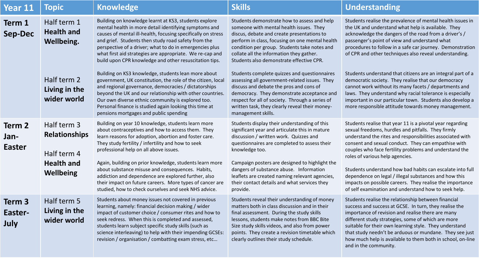| Year 11                              | <b>Topic</b>                                                                         | <b>Knowledge</b>                                                                                                                                                                                                                                                                                                                                                                                                                                                                                                                                           | <b>Skills</b>                                                                                                                                                                                                                                                                                                                                                                                                         | <b>Understanding</b>                                                                                                                                                                                                                                                                                                                                                                                                                                                                                                                                                       |
|--------------------------------------|--------------------------------------------------------------------------------------|------------------------------------------------------------------------------------------------------------------------------------------------------------------------------------------------------------------------------------------------------------------------------------------------------------------------------------------------------------------------------------------------------------------------------------------------------------------------------------------------------------------------------------------------------------|-----------------------------------------------------------------------------------------------------------------------------------------------------------------------------------------------------------------------------------------------------------------------------------------------------------------------------------------------------------------------------------------------------------------------|----------------------------------------------------------------------------------------------------------------------------------------------------------------------------------------------------------------------------------------------------------------------------------------------------------------------------------------------------------------------------------------------------------------------------------------------------------------------------------------------------------------------------------------------------------------------------|
| Term 1<br><b>Sep-Dec</b>             | Half term 1<br><b>Health and</b><br>Wellbeing.                                       | Building on knowledge learnt at KS3, students explore<br>mental health in more detail identifying symptoms and<br>causes of mental ill-health, focusing specifically on stress<br>and grief. Students then study road safety from the<br>perspective of a driver; what to do in emergencies plus<br>what first aid strategies are appropriate. We re-cap and<br>build upon CPR knowledge and other resuscitation tips.                                                                                                                                     | Students demonstrate how to assess and help<br>someone with mental health issues. They<br>discus, debate and create presentations to<br>perform in class, focusing on one mental health<br>condition per group. Students take notes and<br>collate all the information they gather.<br>Students also demonstrate effective CPR.                                                                                       | Students realise the prevalence of mental health issues in<br>the UK and understand what help is available. They<br>acknowledge the dangers of the road from a driver's /<br>passenger's point of view and understand what<br>procedures to follow in a safe car journey. Demonstration<br>of CPR and other techniques also reveal understanding.                                                                                                                                                                                                                          |
|                                      | Half term 2<br>Living in the<br>wider world                                          | Building on KS3 knowledge, students lean more about<br>government, UK constitution, the role of the citizen, local<br>and regional governance, democracies / dictatorships<br>beyond the UK and our relationship with other countries.<br>Our own diverse ethnic community is explored too.<br>Personal finance is studied again looking this time at<br>pensions mortgages and public spending                                                                                                                                                            | Students complete quizzes and questionnaires<br>assessing all government-related issues. They<br>discuss and debate the pros and cons of<br>democracy. They demonstrate acceptance and<br>respect for all of society. Through a series of<br>written task, they clearly reveal their money-<br>management skills.                                                                                                     | Students understand that citizens are an integral part of a<br>democratic society. They realise that our democracy<br>cannot work without its many facets / departments and<br>laws. They understand why racial tolerance is especially<br>important in our particular town. Students also develop a<br>more responsible attitude towards money management.                                                                                                                                                                                                                |
| Term 2<br>Jan-<br><b>Easter</b>      | Half term 3<br><b>Relationships</b><br>Half term 4<br><b>Health and</b><br>Wellbeing | Building on year 10 knowledge, students learn more<br>about contraceptives and how to access them. They<br>learn reasons for adoption, abortion and foster care.<br>They study fertility / infertility and how to seek<br>professional help on all above issues.<br>Again, building on prior knowledge, students learn more<br>about substance misuse and consequences. Habits,<br>addiction and dependence are explored further, also<br>their impact on future careers. More types of cancer are<br>studied, how to check ourselves and seek NHS advice. | Students display their understanding of this<br>significant year and articulate this in mature<br>discussion / written work. Quizzes and<br>questionnaires are completed to assess their<br>knowledge too.<br>Campaign posters are designed to highlight the<br>dangers of substance abuse. Information<br>leaflets are created naming relevant agencies,<br>their contact details and what services they<br>provide. | Students realise that year 11 is a pivotal year regarding<br>sexual freedoms, hurdles and pitfalls. They firmly<br>understand the rites and responsibilities associated with<br>consent and sexual conduct. They can empathise with<br>couples who face fertility problems and understand the<br>roles of various help agencies.<br>Students understand how bad habits can escalate into full<br>dependence on legal / illegal substances and how this<br>impacts on possible careers. They realise the importance<br>of self examination and understand how to seek help. |
| Term <sub>3</sub><br>Easter-<br>July | Half term 5<br>Living in the<br>wider world                                          | Students about money issues not covered in previous<br>learning, namely: financial decision making / wider<br>impact of customer choice / consumer rites and how to<br>seek redress. When this is completed and assessed,<br>students learn subject specific study skills (such as<br>science interleaving) to help with their impending GCSEs:<br>revision / organisation / combatting exam stress, etc                                                                                                                                                   | Students reveal their understanding of money<br>matters both in class discussion and in their<br>final assessment. During the study skills<br>lessons, students make notes from BBC Bite<br>Size study skills videos, and also from power<br>points. They create a revision timetable which<br>clearly outlines their study schedule.                                                                                 | Students realise the relationship between financial<br>success and success at GCSE. In turn, they realise the<br>importance of revision and realise there are many<br>different study strategies, some of which are more<br>suitable for their own learning style. They understand<br>that study needn't be arduous or mundane. They see just<br>how much help is available to them both in school, on-line<br>and in the community.                                                                                                                                       |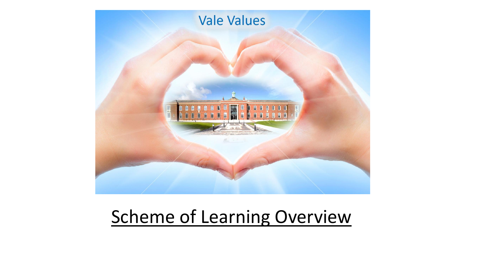

## Scheme of Learning Overview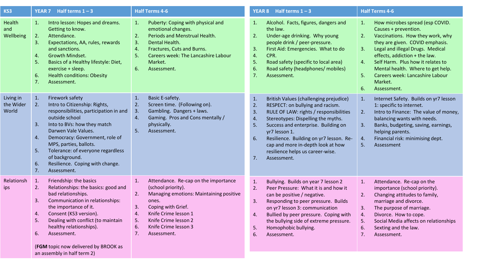| KS3                             | <b>YEAR 7</b> Half terms $1 - 3$                                                                                                                                                                                                                                                                                                                                                  | <b>Half Terms 4-6</b>                                                                                                                                                                                                                                                             | <b>YEAR 8</b> Half terms $1 - 3$                                                                                                                                                                                                                                                                                                                                                                | <b>Half Terms 4-6</b>                                                                                                                                                                                                                                                                                                                                                          |
|---------------------------------|-----------------------------------------------------------------------------------------------------------------------------------------------------------------------------------------------------------------------------------------------------------------------------------------------------------------------------------------------------------------------------------|-----------------------------------------------------------------------------------------------------------------------------------------------------------------------------------------------------------------------------------------------------------------------------------|-------------------------------------------------------------------------------------------------------------------------------------------------------------------------------------------------------------------------------------------------------------------------------------------------------------------------------------------------------------------------------------------------|--------------------------------------------------------------------------------------------------------------------------------------------------------------------------------------------------------------------------------------------------------------------------------------------------------------------------------------------------------------------------------|
| Health<br>and<br>Wellbeing      | Intro lesson: Hopes and dreams.<br>1.<br>Getting to know.<br>2.<br>Attendance.<br>Expectations, AA, rules, rewards<br>3.<br>and sanctions.<br><b>Growth Mindset.</b><br>4.<br>5.<br>Basics of a Healthy lifestyle: Diet,<br>exercise + sleep.<br><b>Health conditions: Obesity</b><br>6.<br>7.<br>Assessment.                                                                     | Puberty: Coping with physical and<br>1.<br>emotional changes.<br>2.<br>Periods and Menstrual Health.<br>3.<br>Dental Health.<br>$\overline{4}$ .<br>Fractures, Cuts and Burns.<br>5.<br>Careers week: The Lancashire Labour<br>Market.<br>6.<br>Assessment.                       | Alcohol. Facts, figures, dangers and<br>1.<br>the law.<br>2.<br>Under-age drinking. Why young<br>people drink / peer-pressure.<br>First Aid: Emergencies. What to do<br>3.<br>4.<br>CPR.<br>Road safety (specific to local area)<br>5.<br>6.<br>Road safety (headphones/ mobiles)<br>7.<br>Assessment.                                                                                          | How microbes spread (esp COVID.<br>1.<br>Causes + prevention.<br>2.<br>Vaccinations. How they work, why<br>they are given. COVID emphasis.<br>Legal and illegal Drugs. Medical<br>3.<br>effects, addiction + the law.<br>Self Harm. Plus how it relates to<br>4.<br>Mental health. Where to get help.<br>Careers week: Lancashire Labour<br>5.<br>Market.<br>6.<br>Assessment. |
| Living in<br>the Wider<br>World | Firework safety<br>1.<br>2.<br>Intro to Citizenship: Rights,<br>responsibilities, participation in and<br>outside school<br>Into to BVs: how they match<br>3.<br>Darwen Vale Values.<br>Democracy: Government, role of<br>4.<br>MPS, parties, ballots.<br>Tolerance: of everyone regardless<br>5.<br>of background.<br>Resilience. Coping with change.<br>6.<br>7.<br>Assessment. | $\mathbf{1}$ .<br>Basic E-safety.<br>2.<br>Screen time. (Following on).<br>Gambling. Dangers + laws.<br>3.<br>Gaming. Pros and Cons mentally /<br>$\overline{4}$ .<br>physically.<br>5.<br>Assessment.                                                                            | British Values (challenging prejudice)<br>1.<br>2.<br>RESPECT: on bullying and racism.<br>3.<br>RULE OF LAW: rights / responsibilities<br>4.<br>Stereotypes: Dispelling the myths.<br>5.<br>Success and enterprise. Building on<br>yr7 lesson 1.<br>Resilience. Building on yr7 lesson. Re-<br>6.<br>cap and more in-depth look at how<br>resilience helps us career-wise.<br>7.<br>Assessment. | Internet Safety. Builds on yr7 lesson<br>1.<br>1: specific to internet.<br>Intro to Finance: The value of money,<br>2.<br>balancing wants with needs.<br>Banks, budgeting, saving, earnings,<br>3.<br>helping parents.<br>Financial risk: minimising dept.<br>4.<br>5.<br>Assessment                                                                                           |
| Relationsh<br>ips               | Friendship: the basics<br>1.<br>Relationships: the basics: good and<br>2.<br>bad relationships.<br>Communication in relationships:<br>3.<br>the importance of it.<br>Consent (KS3 version).<br>4.<br>Dealing with conflict (to maintain<br>5.<br>healthy relationships).<br>Assessment.<br>6.<br>(FGM topic now delivered by BROOK as<br>an assembly in half term 2)              | Attendance. Re-cap on the importance<br>$\mathbf{1}$ .<br>(school priority).<br>2.<br>Managing emotions: Maintaining positive<br>ones.<br>3.<br>Coping with Grief.<br>Knife Crime lesson 1<br>4.<br>5.<br>Knife Crime lesson 2<br>6.<br>Knife Crime lesson 3<br>7.<br>Assessment. | Bullying. Builds on year 7 lesson 2<br>1.<br>Peer Pressure: What it is and how it<br>2.<br>can be positive / negative.<br>Responding to peer pressure. Builds<br>3.<br>on yr7 lesson 3: communication<br>Bullied by peer pressure. Coping with<br>4.<br>the bullying side of extreme pressure.<br>Homophobic bullying.<br>5.<br>6.<br>Assessment.                                               | Attendance. Re-cap on the<br>1.<br>importance (school priority).<br>Changing attitudes to family,<br>2.<br>marriage and divorce.<br>The purpose of marriage.<br>3.<br>Divorce. How to cope.<br>4.<br>5.<br>Social Media affects on relationships<br>6.<br>Sexting and the law.<br>7.<br>Assessment.                                                                            |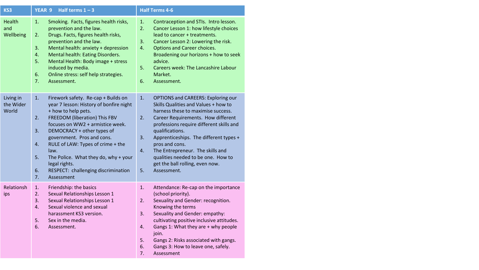| KS3                             | <b>YEAR 9</b><br>Half terms $1 - 3$                                                                                                                                                                                                                                                                                                                                                                                                         | <b>Half Terms 4-6</b>                                                                                                                                                                                                                                                                                                                                                                                                                              |
|---------------------------------|---------------------------------------------------------------------------------------------------------------------------------------------------------------------------------------------------------------------------------------------------------------------------------------------------------------------------------------------------------------------------------------------------------------------------------------------|----------------------------------------------------------------------------------------------------------------------------------------------------------------------------------------------------------------------------------------------------------------------------------------------------------------------------------------------------------------------------------------------------------------------------------------------------|
| Health<br>and<br>Wellbeing      | 1.<br>Smoking. Facts, figures health risks,<br>prevention and the law.<br>Drugs. Facts, figures health risks,<br>2.<br>prevention and the law.<br>3.<br>Mental health: anxiety + depression<br>4.<br>Mental health: Eating Disorders.<br>5.<br>Mental Health: Body image + stress<br>induced by media.<br>6.<br>Online stress: self help strategies.<br>7.<br>Assessment.                                                                   | 1.<br>Contraception and STIs. Intro lesson.<br>2.<br>Cancer Lesson 1: how lifestyle choices<br>lead to cancer + treatments.<br>3.<br>Cancer Lesson 2: Lowering the risk.<br>4.<br>Options and Career choices.<br>Broadening our horizons + how to seek<br>advice.<br>5.<br>Careers week: The Lancashire Labour<br>Market.<br>6.<br>Assessment.                                                                                                     |
| Living in<br>the Wider<br>World | Firework safety. Re-cap + Builds on<br>1.<br>year 7 lesson: History of bonfire night<br>+ how to help pets.<br>FREEDOM (liberation) This FBV<br>2.<br>focuses on WW2 + armistice week.<br>3.<br>DEMOCRACY + other types of<br>government. Pros and cons.<br>RULE of LAW: Types of crime + the<br>4.<br>law.<br>5.<br>The Police. What they do, why + your<br>legal rights.<br>6.<br>RESPECT: challenging discrimination<br>7.<br>Assessment | 1.<br><b>OPTIONS and CAREERS: Exploring our</b><br>Skills Qualities and Values + how to<br>harness these to maximise success.<br>2.<br>Career Requirements. How different<br>professions require different skills and<br>qualifications.<br>3.<br>Apprenticeships. The different types +<br>pros and cons.<br>4.<br>The Entrepreneur. The skills and<br>qualities needed to be one. How to<br>get the ball rolling, even now.<br>5.<br>Assessment. |
| Relationsh<br>ips               | 1.<br>Friendship: the basics<br>2.<br>Sexual Relationships Lesson 1<br>3.<br>Sexual Relationships Lesson 1<br>4.<br>Sexual violence and sexual<br>harassment KS3 version.<br>5.<br>Sex in the media.<br>6.<br>Assessment.                                                                                                                                                                                                                   | 1.<br>Attendance: Re-cap on the importance<br>(school priority).<br>Sexuality and Gender: recognition.<br>2.<br>Knowing the terms<br>Sexuality and Gender: empathy:<br>3.<br>cultivating positive inclusive attitudes.<br>Gangs 1: What they are + why people<br>4.<br>join.<br>5.<br>Gangs 2: Risks associated with gangs.<br>6.<br>Gangs 3: How to leave one, safely.<br>7.<br>Assessment                                                        |